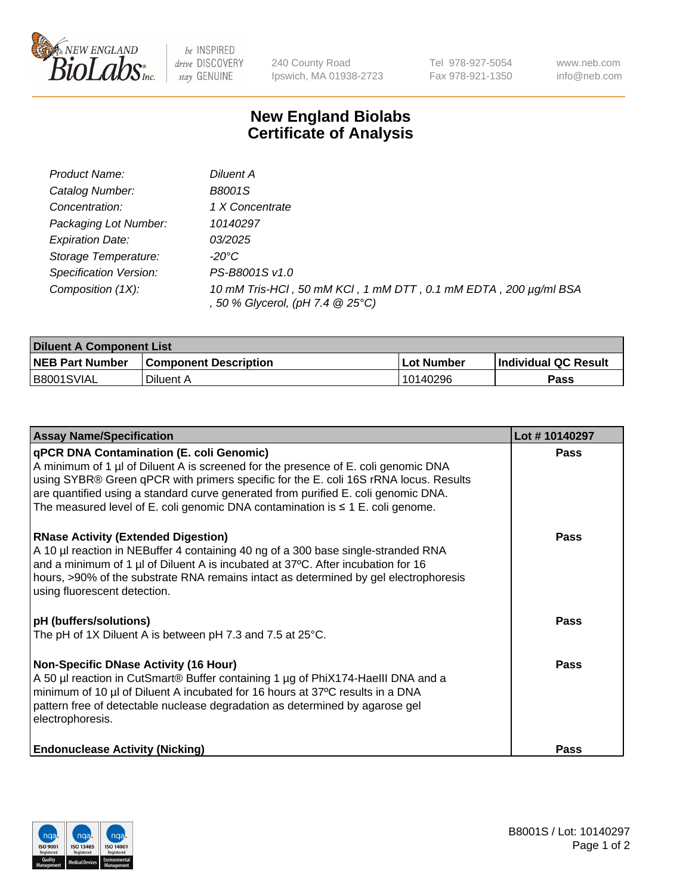

 $be$  INSPIRED drive DISCOVERY stay GENUINE

240 County Road Ipswich, MA 01938-2723 Tel 978-927-5054 Fax 978-921-1350 www.neb.com info@neb.com

## **New England Biolabs Certificate of Analysis**

| Product Name:           | Diluent A                                                                                           |
|-------------------------|-----------------------------------------------------------------------------------------------------|
| Catalog Number:         | B8001S                                                                                              |
| Concentration:          | 1 X Concentrate                                                                                     |
| Packaging Lot Number:   | 10140297                                                                                            |
| <b>Expiration Date:</b> | <i>03/2025</i>                                                                                      |
| Storage Temperature:    | -20°C                                                                                               |
| Specification Version:  | PS-B8001S v1.0                                                                                      |
| Composition (1X):       | 10 mM Tris-HCl, 50 mM KCl, 1 mM DTT, 0.1 mM EDTA, 200 µg/ml BSA<br>, 50 % Glycerol, (pH 7.4 @ 25°C) |

| <b>Diluent A Component List</b> |                              |            |                      |  |
|---------------------------------|------------------------------|------------|----------------------|--|
| <b>NEB Part Number</b>          | <b>Component Description</b> | Lot Number | Individual QC Result |  |
| B8001SVIAL                      | Diluent A                    | 10140296   | Pass                 |  |

| <b>Assay Name/Specification</b>                                                                                                                                                                                                                                                                                                                                                                            | Lot #10140297 |
|------------------------------------------------------------------------------------------------------------------------------------------------------------------------------------------------------------------------------------------------------------------------------------------------------------------------------------------------------------------------------------------------------------|---------------|
| <b>qPCR DNA Contamination (E. coli Genomic)</b><br>A minimum of 1 µl of Diluent A is screened for the presence of E. coli genomic DNA<br>using SYBR® Green qPCR with primers specific for the E. coli 16S rRNA locus. Results<br>are quantified using a standard curve generated from purified E. coli genomic DNA.<br>The measured level of E. coli genomic DNA contamination is $\leq 1$ E. coli genome. | <b>Pass</b>   |
| <b>RNase Activity (Extended Digestion)</b><br>A 10 µl reaction in NEBuffer 4 containing 40 ng of a 300 base single-stranded RNA<br>and a minimum of 1 µl of Diluent A is incubated at 37°C. After incubation for 16<br>hours, >90% of the substrate RNA remains intact as determined by gel electrophoresis<br>using fluorescent detection.                                                                | Pass          |
| <b>pH</b> (buffers/solutions)<br>The pH of 1X Diluent A is between pH 7.3 and 7.5 at 25°C.                                                                                                                                                                                                                                                                                                                 | <b>Pass</b>   |
| <b>Non-Specific DNase Activity (16 Hour)</b><br>A 50 µl reaction in CutSmart® Buffer containing 1 µg of PhiX174-HaellI DNA and a<br>minimum of 10 µl of Diluent A incubated for 16 hours at 37°C results in a DNA<br>pattern free of detectable nuclease degradation as determined by agarose gel<br>electrophoresis.                                                                                      | Pass          |
| <b>Endonuclease Activity (Nicking)</b>                                                                                                                                                                                                                                                                                                                                                                     | <b>Pass</b>   |